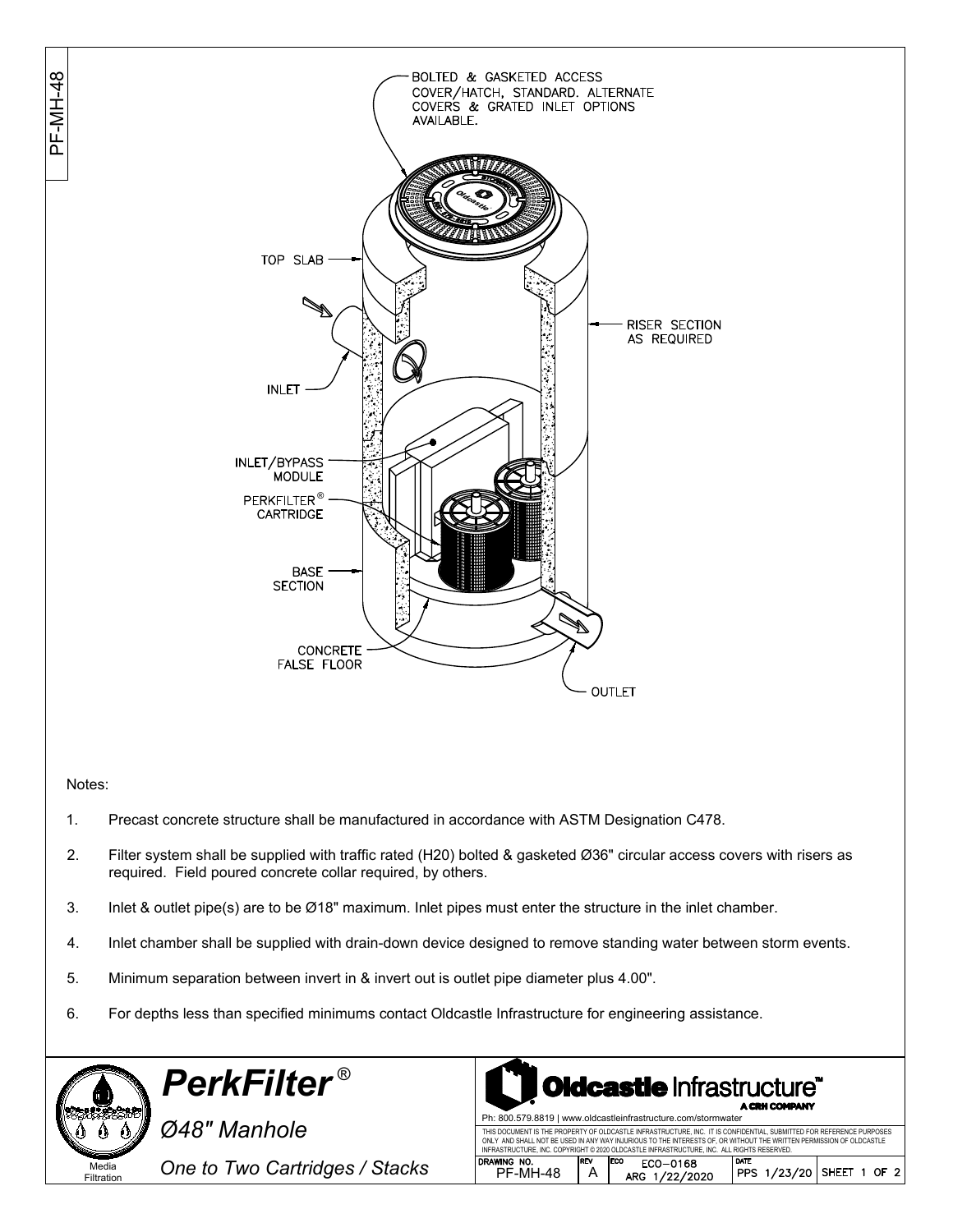